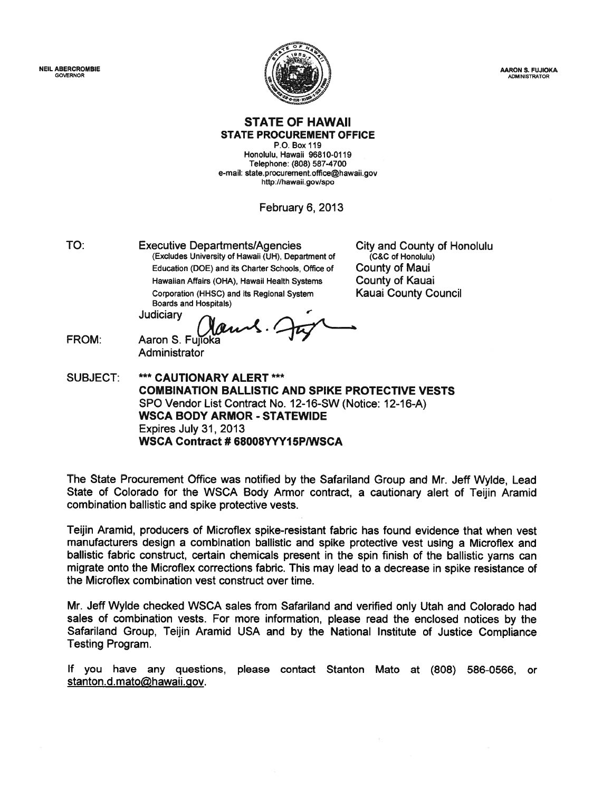NEIL ABERCROMBIE GOVERNOR

FROM:



AARON S. FUJIOKA ADMINISTRATOR

#### STATE OF HAWAII STATE PROCUREMENT OFFICE

P.O. Box 119 Honolulu, Hawaii 96810-0119 Telephone: (808) 587-4700 e-mail: state.procurement.office@hawaii.gov http://hawaii.gov/spo

February 6, 2013

Executive Departments/Agencies (Excludes University of Hawaii (UH), Department of Education (DOE) and its Charter Schools, Office of Hawaiian Affairs (OHA), Hawaii Health Systems Corporation (HHSC) and its Regional System Boards and Hospitals) TO:

City and County of Honolulu (C&C of Honolulu) County of Maui County of Kauai Kauai County Council

Judiciary

Aaron S. Fujioka **Administrator** 

SUBJECT: \*\*\* CAUTIONARY ALERT \*\*\* COMBINATION BALLISTIC AND SPIKE PROTECTIVE VESTS SPO Vendor List Contract No. 12-16-SW (Notice: 12-16-A) WSCA BODY ARMOR - STATEWIDE Expires July 31, 2013 WSCA Contract # 68008YYY15P/WSCA

The State Procurement Office was notified by the Safariland Group and Mr. Jeff Wylde, Lead State of Colorado for the WSCA Body Armor contract, <sup>a</sup> cautionary alert of Teijin Aramid combination ballistic and spike protective vests.

Teijin Aramid, producers of Microflex spike-resistant fabric has found evidence that when vest manufacturers design <sup>a</sup> combination ballistic and spike protective vest using <sup>a</sup> Microflex and ballistic fabric construct, certain chemicals presen<sup>t</sup> in the spin finish of the ballistic yarns can migrate onto the Microflex corrections fabric. This may lead to <sup>a</sup> decrease in spike resistance of the Microflex combination vest construct over time.

Mr. Jeff Wylde checked WSCA sales from Safariland and verified only Utah and Colorado had sales of combination vests. For more information, <sup>p</sup>lease read the enclosed notices by the Safariland Group, Teijin Aramid USA and by the National Institute of Justice Compliance Testing Program.

If you have any questions, please contact Stanton Mato at (808) 586-0566, or stanton.d.mato@hawaii.gov.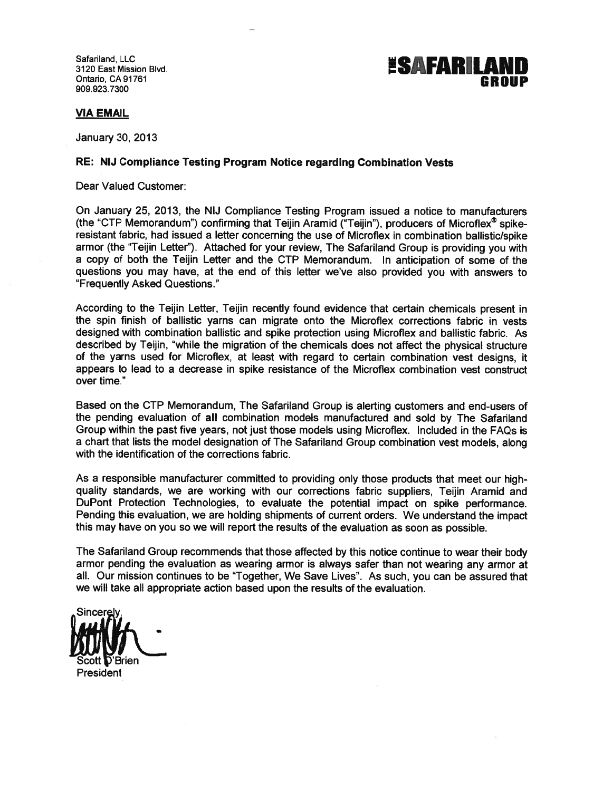Safariland, LLC 3120 East Mission Blvd.

## **ESAFARILAI** Ontario, CA91761 GROUP 909.923.7300

VIA EMAIL

January 30, 2013

#### RE: NIJ Compliance Testing Program Notice regarding Combination Vests

Dear Valued Customer:

On January 25, 2013, the NIJ Compliance Testing Program issued <sup>a</sup> notice to manufacturers (the "CTP Memorandum") confirming that Teijin Aramid ("Teijin"), producers of Microflex<sup>®</sup> spikeresistant fabric, had issued <sup>a</sup> letter concerning the use of Microflex in combination ballistic/spike armor (the "Teijin Letter"). Attached for your review, The Safariland Group is providing you with <sup>a</sup> copy of both the Teijin Letter and the CTP Memorandum. In anticipation of some of the questions you may have, at the end of this letter we've also provided you with answers to "Frequently Asked Questions."

According to the Teijin Letter, Teijin recently found evidence that certain chemicals presen<sup>t</sup> in the spin finish of ballistic yarns can migrate onto the Microflex corrections fabric in vests designed with combination ballistic and spike protection using Microflex and ballistic fabric. As described by Teijin, "while the migration of the chemicals does not affect the <sup>p</sup>hysical structure of the yarns used for Microflex, at least with regar<sup>d</sup> to certain combination vest designs, it appears to lead to <sup>a</sup> decrease in spike resistance of the Microflex combination vest construct over time."

Based on the CTP Memorandum, The Safariland Group is alerting customers and end-users of the pending evaluation of all combination models manufactured and sold by The Safariland Group within the pas<sup>t</sup> five years, not just those models using Microflex. Included in the FAQs is <sup>a</sup> chart that lists the model designation of The Safariland Group combination vest models, along with the identification of the corrections fabric.

As <sup>a</sup> responsible manufacturer committed to providing only those products that meet our highquality standards, we are working with our corrections fabric suppliers, Teijin Aramid and DuPont Protection Technologies, to evaluate the potential impact on spike performance. Pending this evaluation, we are holding shipments of current orders. We understand the impact this may have on you so we will repor<sup>t</sup> the results of the evaluation as soon as possible.

The Safariland Group recommends that those affected by this notice continue to wear their body armor pending the evaluation as wearing armor is always safer than not wearing any armor at all. Our mission continues to be "Together, We Save Lives". As such, you can be assured that we will take all appropriate action based upon the results of the evaluation.

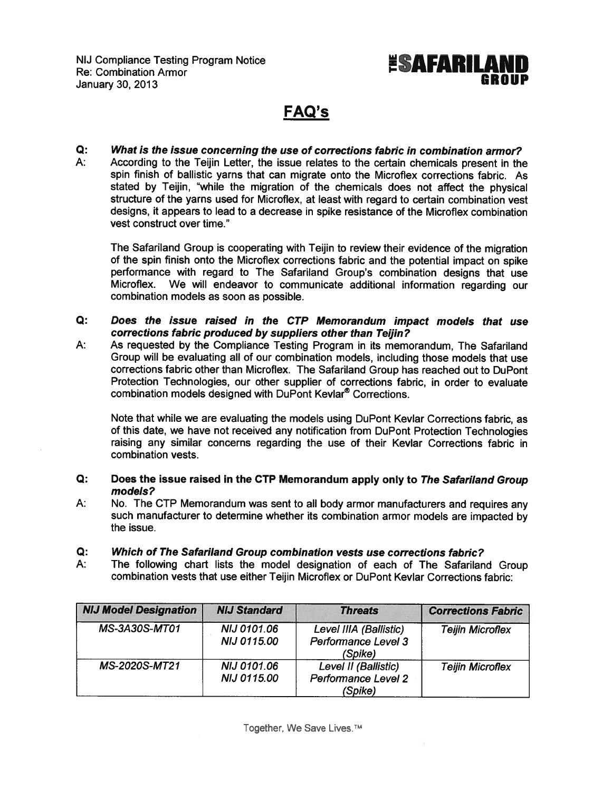

### FAQ's

Q: What is the issue concerning the use of corrections fabric in combination armor? A: According to the Teijin Letter, the issue relates to the certain chemicals presen<sup>t</sup> in the spin finish of ballistic yarns that can migrate onto the Microflex corrections fabric. As stated by Teijin, "while the migration of the chemicals does not affect the <sup>p</sup>hysical structure of the yarns used for Microflex, at least with regard to certain combination vest designs, it appears to lead to <sup>a</sup> decrease in spike resistance of the Microflex combination vest construct over time."

The Safariland Group is cooperating with Teijin to review their evidence of the migration of the spin finish onto the Microflex corrections fabric and the potential impact on spike performance with regar<sup>d</sup> to The Safariland Group's combination designs that use Microflex. We will endeavor to communicate additional information regarding our combination models as soon as possible.

- Q: Does the issue raised in the CTP Memorandum impact models that use corrections fabric produced by suppliers other than Teijin?
- A: As requested by the Compliance Testing Program in its memorandum, The Safariland Group will be evaluating all of our combination models, including those models that use corrections fabric other than Microflex. The Safariland Group has reached out to DuPont Protection Technologies, our other supplier of corrections fabric, in order to evaluate combination models designed with DuPont Kevlar® Corrections.

Note that while we are evaluating the models using DuPont Kevlar Corrections fabric, as of this date, we have not received any notification from DuPont Protection Technologies raising any similar concerns regarding the use of their Kevlar Corrections fabric in combination vests.

- Q: Does the issue raised in the CTP Memorandum apply only to The Safariland Group models?
- A: No. The CTP Memorandum was sent to all body armor manufacturers and requires any such manufacturer to determine whether its combination armor models are impacted by the issue.
- Q: Which of The Safariland Group combination vests use corrections fabric?
- A: The following chart lists the model designation of each of The Safariland Group combination vests that use either Teijin Microflex or DuPont Kevlar Corrections fabric:

| <b>NIJ Model Designation</b> | <b>NIJ Standard</b>                      | <b>Threats</b>                                                | <b>Corrections Fabric</b> |
|------------------------------|------------------------------------------|---------------------------------------------------------------|---------------------------|
| <b>MS-3A30S-MT01</b>         | <b>NIJ 0101.06</b><br><b>NIJ 0115.00</b> | Level IIIA (Ballistic)<br>Performance Level 3<br>(Spike)      | <b>Teijin Microflex</b>   |
| MS-2020S-MT21                | <b>NIJ 0101.06</b><br><b>NIJ 0115.00</b> | Level II (Ballistic)<br><b>Performance Level 2</b><br>(Spike) | <b>Teijin Microflex</b>   |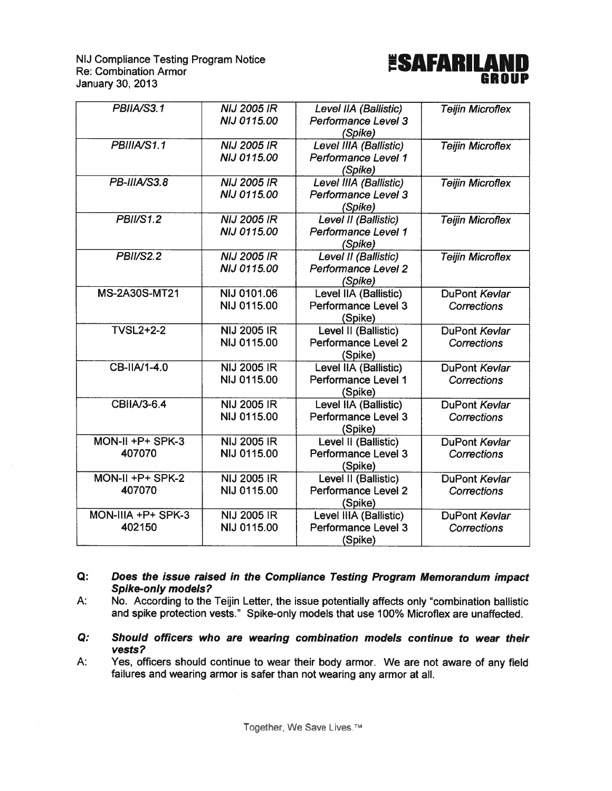NIJ Compliance Testing Program Notice<br>Re: Combination Armor January 30, 2013



| PBIIA/S3.1          | <b>NIJ 2005 IR</b> | Level IIA (Ballistic)      | <b>Teijin Microflex</b> |
|---------------------|--------------------|----------------------------|-------------------------|
|                     | <b>NIJ 0115.00</b> | Performance Level 3        |                         |
|                     |                    | (Spike)                    |                         |
| PBIIIA/S1.1         | <b>NIJ 2005 IR</b> | Level IIIA (Ballistic)     | <b>Teijin Microflex</b> |
|                     | <b>NIJ 0115.00</b> | Performance Level 1        |                         |
|                     |                    | (Spike)                    |                         |
| PB-IIIA/S3.8        | <b>NIJ 2005 IR</b> | Level IIIA (Ballistic)     | <b>Teijin Microflex</b> |
|                     | NIJ 0115.00        | Performance Level 3        |                         |
|                     |                    | (Spike)                    |                         |
| <b>PBII/S1.2</b>    | <b>NIJ 2005 IR</b> | Level II (Ballistic)       | <b>Teijin Microflex</b> |
|                     | <b>NIJ 0115.00</b> | Performance Level 1        |                         |
|                     |                    | (Spike)                    |                         |
| <b>PBII/S2.2</b>    | <b>NIJ 2005 IR</b> | Level II (Ballistic)       | <b>Teijin Microflex</b> |
|                     | <b>NIJ 0115.00</b> | Performance Level 2        |                         |
|                     |                    | (Spike)                    |                         |
| MS-2A30S-MT21       | NIJ 0101.06        | Level IIA (Ballistic)      | DuPont Kevlar           |
|                     | NIJ 0115.00        | Performance Level 3        | <b>Corrections</b>      |
|                     |                    | (Spike)                    |                         |
| <b>TVSL2+2-2</b>    | <b>NIJ 2005 IR</b> | Level II (Ballistic)       | DuPont Kevlar           |
|                     | NIJ 0115.00        | Performance Level 2        | <b>Corrections</b>      |
|                     |                    | (Spike)                    |                         |
| CB-IIA/1-4.0        | <b>NIJ 2005 IR</b> | Level IIA (Ballistic)      | DuPont Kevlar           |
|                     | NIJ 0115.00        | Performance Level 1        | <b>Corrections</b>      |
|                     |                    | (Spike)                    |                         |
| <b>CBIIA/3-6.4</b>  | <b>NIJ 2005 IR</b> | Level IIA (Ballistic)      | DuPont Kevlar           |
|                     | NIJ 0115.00        | Performance Level 3        | Corrections             |
|                     |                    | (Spike)                    |                         |
| MON-II +P+ SPK-3    | <b>NIJ 2005 IR</b> | Level II (Ballistic)       | DuPont Kevlar           |
| 407070              | NIJ 0115.00        | <b>Performance Level 3</b> | Corrections             |
|                     |                    | (Spike)                    |                         |
| $MON-II + P+ SPK-2$ | <b>NIJ 2005 IR</b> | Level II (Ballistic)       | DuPont Kevlar           |
| 407070              | NIJ 0115.00        | Performance Level 2        | <b>Corrections</b>      |
|                     |                    | (Spike)                    |                         |
| MON-IIIA +P+ SPK-3  | <b>NIJ 2005 IR</b> | Level IIIA (Ballistic)     | DuPont Kevlar           |
| 402150              | NIJ 0115.00        | <b>Performance Level 3</b> | Corrections             |
|                     |                    | (Spike)                    |                         |

#### Q: Does the issue raised in the Compliance Testing Program Memorandum impact Spike-only models?

A: No. According to the Teijin Letter, the issue potentially affects only "combination ballistic and spike protection vests." Spike-only models that use 100% Microfiex are unaffected.

- Q: Should officers who are wearing combination models continue to wear their vests?
- A: Yes, officers should continue to wear their body armor. We are not aware of any field failures and wearing armor is safer than not wearing any armor at all.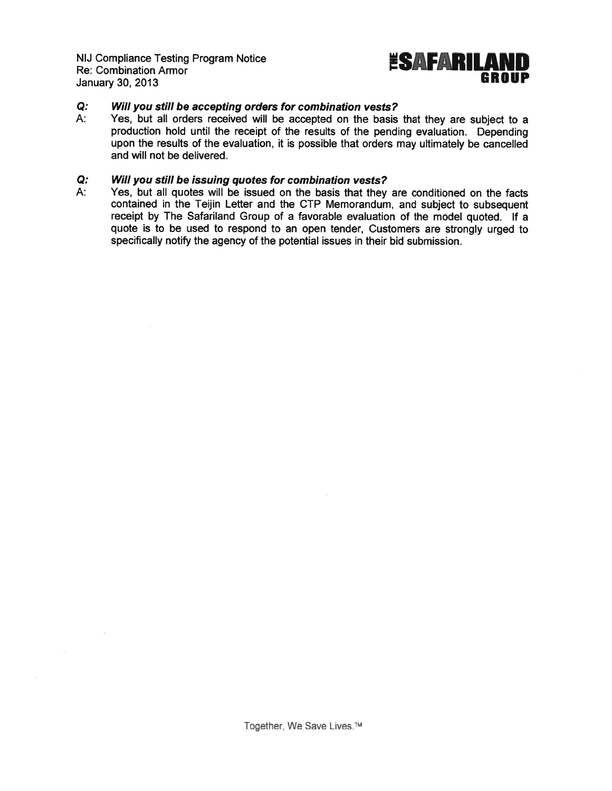NIJ Compliance Testing Program Notice<br>Re: Combination Armor NIJ Compliance Testing Program Notice<br>Re: Combination Armor<br>January 30, 2013 **GR** 



#### Q: Will you still be accepting orders for combination vests?

A: Yes, but all orders received will be accepted on the basis that they are subject to <sup>a</sup> production hold until the receipt of the results of the pending evaluation. Depending upon the results of the evaluation, it is possible that orders may ultimately be cancelled and will not be delivered.

## $Q:$  Will you still be issuing quotes for combination vests?<br>A: Yes, but all quotes will be issued on the basis that they

Yes, but all quotes will be issued on the basis that they are conditioned on the facts contained in the Teijin Letter and the CTP Memorandum, and subject to subsequent receipt by The Safariland Group of <sup>a</sup> favorable evaluation of the model quoted. If <sup>a</sup> quote is to be used to respond to an open tender, Customers are strongly urged to specifically notify the agency of the potential issues in their bid submission.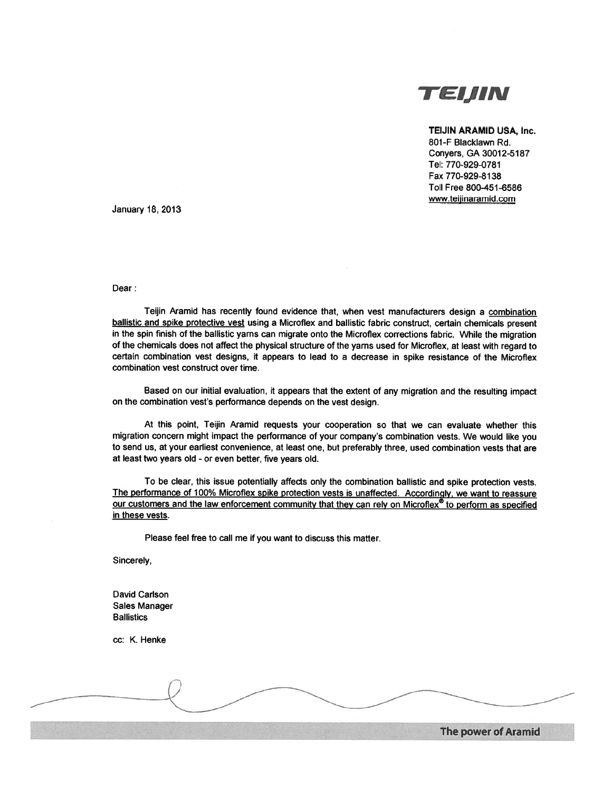

#### TEIJIN ARAMID USA, Inc.

801-F Blacklawn Rd. Convers, GA 30012-5187 Tel: 770-929-0781 Fax 770-929-8138 Toll Free 800-451-6586 www.teijinaramid.com

January 18, 2013

Dear:

Teijin Aramid has recently found evidence that, when vest manufacturers design a combination ballistic and spike protective vest using <sup>a</sup> Microflex and ballistic fabric construct, certain chemicals presen<sup>t</sup> in the spin finish of the ballistic yarns can migrate onto the Microflex corrections fabric. While the migration of the chemicals does not affect the <sup>p</sup>hysical structure of the yarns used for Microflex, at least with regar<sup>d</sup> to certain combination vest designs, it appears to lead to <sup>a</sup> decrease in spike resistance of the Microflex combination vest construct over time.

Based on our initial evaluation, it appears that the extent of any migration and the resulting impact on the combination vest's performance depends on the vest design.

At this point, Teijin Aramid requests your cooperation so that we can evaluate whether this migration concern might impact the performance of your company's combination vests. We would like you to send us, at your earliest convenience, at least one, but preferably three, used combination vests that are at least two years old - or even better, five years old.

To be clear, this issue potentially affects only the combination ballistic and spike protection vests. The performance of 100% Microflex spike protection vests is unaffected. Accordingly, we want to reassure our customers and the law enforcement community that they can rely on Microflex® to perform as specified in these vests.

Please feel free to call me if you want to discuss this matter.

Sincerely,

David Carlson Sales Manager **Ballistics** 

cc: K. Henke

The power of Aramid